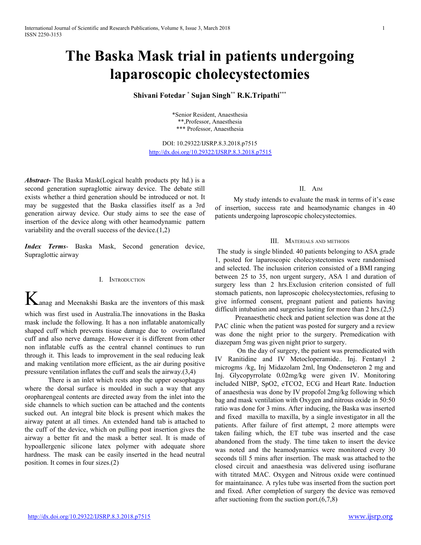# **The Baska Mask trial in patients undergoing laparoscopic cholecystectomies**

**Shivani Fotedar \* Sujan Singh \*\* R.K.Tripathi \*\*\***

\*Senior Resident, Anaesthesia \*\*,Professor, Anaesthesia \*\*\* Professor, Anaesthesia

DOI: 10.29322/IJSRP.8.3.2018.p7515 [http://dx.doi.org/10.29322/IJSRP.8.3.2018.p7515](http://dx.doi.org/10.29322/IJSRP.8.3.2018.p75XX)

*Abstract***-** The Baska Mask(Logical health products pty ltd.) is a second generation supraglottic airway device. The debate still exists whether a third generation should be introduced or not. It may be suggested that the Baska classifies itself as a 3rd generation airway device. Our study aims to see the ease of insertion of the device along with other heamodynamic pattern variability and the overall success of the device. $(1,2)$ 

*Index Terms*- Baska Mask, Second generation device, Supraglottic airway

#### I. INTRODUCTION

Kanag and Meenakshi Baska are the inventors of this mask which was first used in Australia.The innovations in the Baska mask include the following. It has a non inflatable anatomically shaped cuff which prevents tissue damage due to overinflated cuff and also nerve damage. However it is different from other non inflatable cuffs as the central channel continues to run through it. This leads to improvement in the seal reducing leak

and making ventilation more efficient, as the air during positive pressure ventilation inflates the cuff and seals the airway.(3,4)

There is an inlet which rests atop the upper oesophagus where the dorsal surface is moulded in such a way that any oropharengeal contents are directed away from the inlet into the side channels to which suction can be attached and the contents sucked out. An integral bite block is present which makes the airway patent at all times. An extended hand tab is attached to the cuff of the device, which on pulling post insertion gives the airway a better fit and the mask a better seal. It is made of hypoallergenic silicone latex polymer with adequate shore hardness. The mask can be easily inserted in the head neutral position. It comes in four sizes.(2)

# II. AIM

My study intends to evaluate the mask in terms of it's ease of insertion, success rate and heamodynamic changes in 40 patients undergoing laproscopic cholecystectomies.

#### III. MATERIALS AND METHODS

The study is single blinded. 40 patients belonging to ASA grade 1, posted for laparoscopic cholecystectomies were randomised and selected. The inclusion criterion consisted of a BMI ranging between 25 to 35, non urgent surgery, ASA 1 and duration of surgery less than 2 hrs.Exclusion criterion consisted of full stomach patients, non laproscopic cholecystectomies, refusing to give informed consent, pregnant patient and patients having difficult intubation and surgeries lasting for more than 2 hrs.(2,5)

Preanaesthetic check and patient selection was done at the PAC clinic when the patient was posted for surgery and a review was done the night prior to the surgery. Premedication with diazepam 5mg was given night prior to surgery.

On the day of surgery, the patient was premedicated with IV Ranitidine and IV Metocloperamide.. Inj. Fentanyl 2 microgms /kg, Inj Midazolam 2ml, Ing Ondenseteron 2 mg and Inj. Glycopyrrolate 0.02mg/kg were given IV. Monitoring included NIBP, SpO2, eTCO2, ECG and Heart Rate. Induction of anaesthesia was done by IV propofol 2mg/kg following which bag and mask ventilation with Oxygen and nitrous oxide in 50:50 ratio was done for 3 mins. After inducing, the Baska was inserted and fixed maxilla to maxilla, by a single investigator in all the patients. After failure of first attempt, 2 more attempts were taken failing which, the ET tube was inserted and the case abandoned from the study. The time taken to insert the device was noted and the heamodynamics were monitored every 30 seconds till 5 mins after insertion. The mask was attached to the closed circuit and anaesthesia was delivered using isoflurane with titrated MAC. Oxygen and Nitrous oxide were continued for maintainance. A ryles tube was inserted from the suction port and fixed. After completion of surgery the device was removed after suctioning from the suction port.(6,7,8)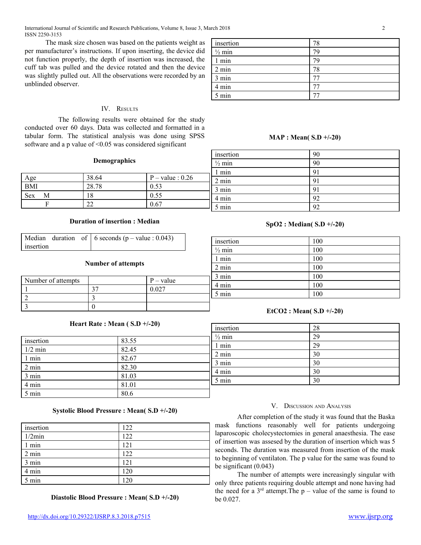The mask size chosen was based on the patients weight as per manufacturer's instructions. If upon inserting, the device did not function properly, the depth of insertion was increased, the cuff tab was pulled and the device rotated and then the device was slightly pulled out. All the observations were recorded by an unblinded observer.

# IV. RESULTS

The following results were obtained for the study conducted over 60 days. Data was collected and formatted in a tabular form. The statistical analysis was done using SPSS software and a p value of <0.05 was considered significant

| insertion         | 78 |
|-------------------|----|
| $\frac{1}{2}$ min | 79 |
| 1 min             | 79 |
| $2 \text{ min}$   | 78 |
| 3 min             |    |
| 4 min             |    |
| 5 min             |    |

# **MAP : Mean( S.D +/-20)**

insertion 90  $\frac{1}{2}$  min 90

| Demographics |
|--------------|
|--------------|

|          |               |                    | min   | 91 |
|----------|---------------|--------------------|-------|----|
| Age      | 38.64         | $P - value : 0.26$ | 2 min | 91 |
| BMI      | 28.78         | 0.53               | 3 min | 91 |
| Sex<br>М | 18            | 0.55               | 4 min | 92 |
|          | $\sim$<br>مصد | 0.67               | 5 min | 92 |
|          |               |                    |       |    |

# **Duration of insertion : Median**

|           |  | Median duration of $\vert 6$ seconds (p – value : 0.043) |
|-----------|--|----------------------------------------------------------|
| insertion |  |                                                          |

#### **Number of attempts**

| Number of attempts | $P - value$ |
|--------------------|-------------|
|                    |             |
|                    |             |
|                    |             |

# **Heart Rate : Mean ( S.D +/-20)**

| insertion | 83.55 | $\frac{1}{2}$  |
|-----------|-------|----------------|
|           |       |                |
| $1/2$ min | 82.45 | $\overline{2}$ |
| 1 min     | 82.67 |                |
| 2 min     | 82.30 | 3              |
| 3 min     | 81.03 | $\overline{4}$ |
| 4 min     | 81.01 | 5              |
| 5 min     | 80.6  |                |

# **Systolic Blood Pressure : Mean( S.D +/-20)**

| insertion | 122 |
|-----------|-----|
| 1/2min    | 122 |
| 1 min     | 121 |
| 2 min     | 122 |
| 3 min     | 121 |
| 4 min     | 120 |
| 5 min     | 120 |

**Diastolic Blood Pressure : Mean( S.D +/-20)**

# insertion 100  $\frac{1}{2}$  min 100 1 min 100 2 min 100 3 min 100 4 min 100 5 min 100

**SpO2 : Median( S.D +/-20)**

# **EtCO2 : Mean( S.D +/-20)**

| insertion         | 28 |
|-------------------|----|
| $\frac{1}{2}$ min | 29 |
| $1$ min           | 29 |
| $2 \text{ min}$   | 30 |
| 3 min             | 30 |
| 4 min             | 30 |
| 5 min             | 30 |

#### V. DISCUSSION AND ANALYSIS

After completion of the study it was found that the Baska mask functions reasonably well for patients undergoing laparoscopic cholecystectomies in general anaesthesia. The ease of insertion was assesed by the duration of insertion which was 5 seconds. The duration was measured from insertion of the mask to beginning of ventilaton. The p value for the same was found to be significant (0.043)

The number of attempts were increasingly singular with only three patients requiring double attempt and none having had the need for a  $3<sup>rd</sup>$  attempt. The p – value of the same is found to be 0.027.